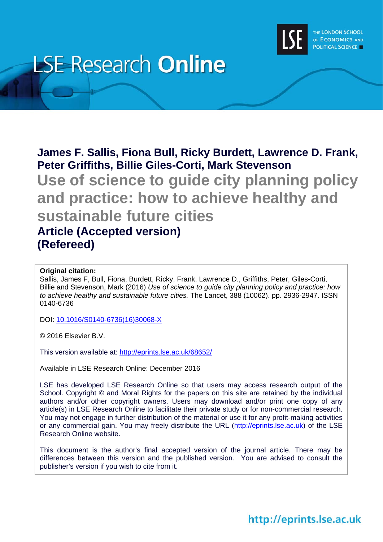

# **LSE Research Online**

# **James F. Sallis, Fiona Bull, Ricky Burdett, Lawrence D. Frank, Peter Griffiths, Billie Giles-Corti, Mark Stevenson**

**Use of science to guide city planning policy and practice: how to achieve healthy and sustainable future cities Article (Accepted version) (Refereed)** 

# **Original citation:**

Sallis, James F, Bull, Fiona, Burdett, Ricky, Frank, Lawrence D., Griffiths, Peter, Giles-Corti, Billie and Stevenson, Mark (2016) *Use of science to guide city planning policy and practice: how to achieve healthy and sustainable future cities.* The Lancet, 388 (10062). pp. 2936-2947. ISSN 0140-6736

DOI: 10.1016/S0140-6736(16)30068-X

© 2016 Elsevier B.V.

This version available at: http://eprints.lse.ac.uk/68652/

Available in LSE Research Online: December 2016

LSE has developed LSE Research Online so that users may access research output of the School. Copyright © and Moral Rights for the papers on this site are retained by the individual authors and/or other copyright owners. Users may download and/or print one copy of any article(s) in LSE Research Online to facilitate their private study or for non-commercial research. You may not engage in further distribution of the material or use it for any profit-making activities or any commercial gain. You may freely distribute the URL (http://eprints.lse.ac.uk) of the LSE Research Online website.

This document is the author's final accepted version of the journal article. There may be differences between this version and the published version. You are advised to consult the publisher's version if you wish to cite from it.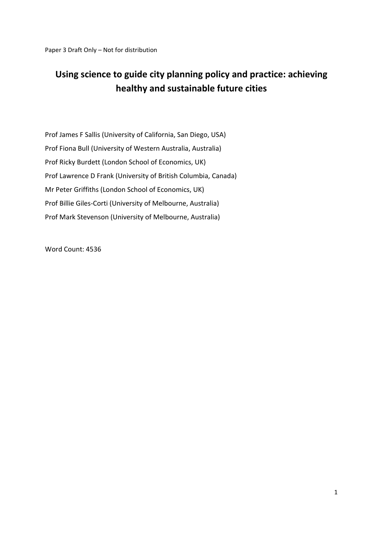# **Using science to guide city planning policy and practice: achieving healthy and sustainable future cities**

Prof James F Sallis (University of California, San Diego, USA) Prof Fiona Bull (University of Western Australia, Australia) Prof Ricky Burdett (London School of Economics, UK) Prof Lawrence D Frank (University of British Columbia, Canada) Mr Peter Griffiths (London School of Economics, UK) Prof Billie Giles‐Corti (University of Melbourne, Australia) Prof Mark Stevenson (University of Melbourne, Australia)

Word Count: 4536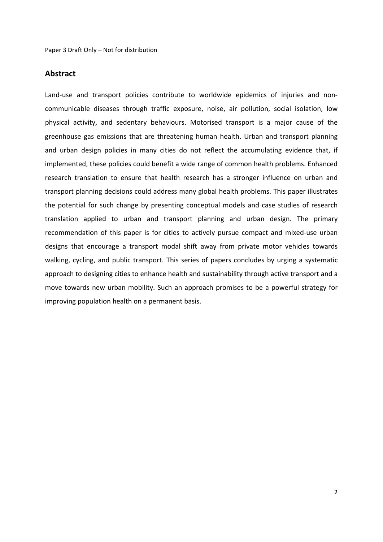# **Abstract**

Land-use and transport policies contribute to worldwide epidemics of injuries and noncommunicable diseases through traffic exposure, noise, air pollution, social isolation, low physical activity, and sedentary behaviours. Motorised transport is a major cause of the greenhouse gas emissions that are threatening human health. Urban and transport planning and urban design policies in many cities do not reflect the accumulating evidence that, if implemented, these policies could benefit a wide range of common health problems. Enhanced research translation to ensure that health research has a stronger influence on urban and transport planning decisions could address many global health problems. This paper illustrates the potential for such change by presenting conceptual models and case studies of research translation applied to urban and transport planning and urban design. The primary recommendation of this paper is for cities to actively pursue compact and mixed‐use urban designs that encourage a transport modal shift away from private motor vehicles towards walking, cycling, and public transport. This series of papers concludes by urging a systematic approach to designing cities to enhance health and sustainability through active transport and a move towards new urban mobility. Such an approach promises to be a powerful strategy for improving population health on a permanent basis.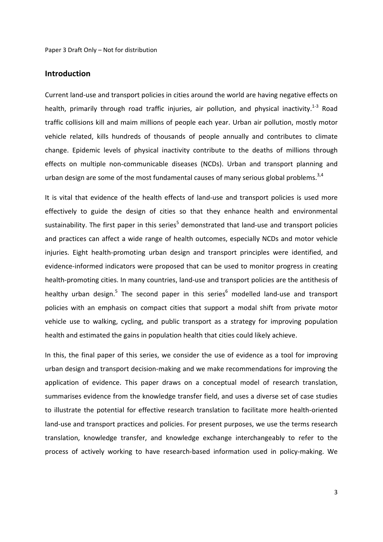### **Introduction**

Current land‐use and transport policies in cities around the world are having negative effects on health, primarily through road traffic injuries, air pollution, and physical inactivity.<sup>1-3</sup> Road traffic collisions kill and maim millions of people each year. Urban air pollution, mostly motor vehicle related, kills hundreds of thousands of people annually and contributes to climate change. Epidemic levels of physical inactivity contribute to the deaths of millions through effects on multiple non‐communicable diseases (NCDs). Urban and transport planning and urban design are some of the most fundamental causes of many serious global problems.<sup>3,4</sup>

It is vital that evidence of the health effects of land‐use and transport policies is used more effectively to guide the design of cities so that they enhance health and environmental sustainability. The first paper in this series<sup>5</sup> demonstrated that land-use and transport policies and practices can affect a wide range of health outcomes, especially NCDs and motor vehicle injuries. Eight health‐promoting urban design and transport principles were identified, and evidence-informed indicators were proposed that can be used to monitor progress in creating health-promoting cities. In many countries, land-use and transport policies are the antithesis of healthy urban design.<sup>5</sup> The second paper in this series<sup>6</sup> modelled land-use and transport policies with an emphasis on compact cities that support a modal shift from private motor vehicle use to walking, cycling, and public transport as a strategy for improving population health and estimated the gains in population health that cities could likely achieve.

In this, the final paper of this series, we consider the use of evidence as a tool for improving urban design and transport decision‐making and we make recommendations for improving the application of evidence. This paper draws on a conceptual model of research translation, summarises evidence from the knowledge transfer field, and uses a diverse set of case studies to illustrate the potential for effective research translation to facilitate more health‐oriented land-use and transport practices and policies. For present purposes, we use the terms research translation, knowledge transfer, and knowledge exchange interchangeably to refer to the process of actively working to have research-based information used in policy-making. We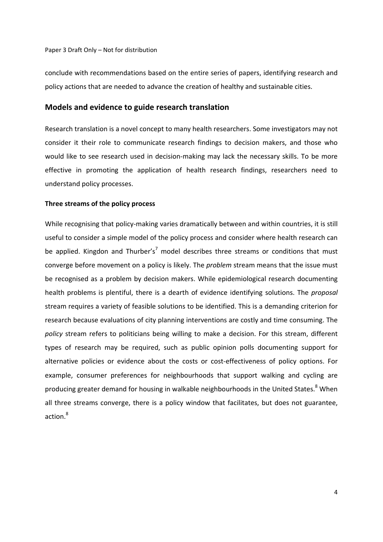conclude with recommendations based on the entire series of papers, identifying research and policy actions that are needed to advance the creation of healthy and sustainable cities.

#### **Models and evidence to guide research translation**

Research translation is a novel concept to many health researchers. Some investigators may not consider it their role to communicate research findings to decision makers, and those who would like to see research used in decision-making may lack the necessary skills. To be more effective in promoting the application of health research findings, researchers need to understand policy processes.

#### **Three streams of the policy process**

While recognising that policy-making varies dramatically between and within countries, it is still useful to consider a simple model of the policy process and consider where health research can be applied. Kingdon and Thurber's<sup>7</sup> model describes three streams or conditions that must converge before movement on a policy is likely. The *problem* stream means that the issue must be recognised as a problem by decision makers. While epidemiological research documenting health problems is plentiful, there is a dearth of evidence identifying solutions. The *proposal* stream requires a variety of feasible solutions to be identified. This is a demanding criterion for research because evaluations of city planning interventions are costly and time consuming. The *policy* stream refers to politicians being willing to make a decision. For this stream, different types of research may be required, such as public opinion polls documenting support for alternative policies or evidence about the costs or cost-effectiveness of policy options. For example, consumer preferences for neighbourhoods that support walking and cycling are producing greater demand for housing in walkable neighbourhoods in the United States.<sup>8</sup> When all three streams converge, there is a policy window that facilitates, but does not guarantee, action.<sup>8</sup>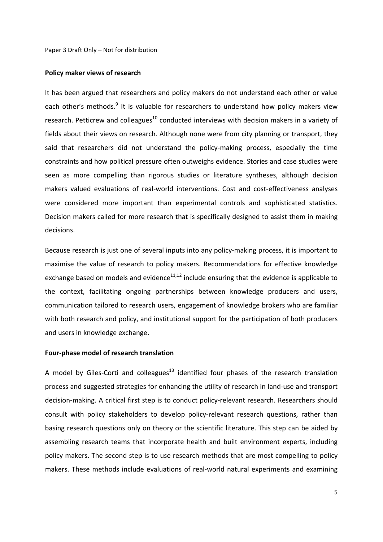#### **Policy maker views of research**

It has been argued that researchers and policy makers do not understand each other or value each other's methods.<sup>9</sup> It is valuable for researchers to understand how policy makers view research. Petticrew and colleagues $^{10}$  conducted interviews with decision makers in a variety of fields about their views on research. Although none were from city planning or transport, they said that researchers did not understand the policy-making process, especially the time constraints and how political pressure often outweighs evidence. Stories and case studies were seen as more compelling than rigorous studies or literature syntheses, although decision makers valued evaluations of real‐world interventions. Cost and cost‐effectiveness analyses were considered more important than experimental controls and sophisticated statistics. Decision makers called for more research that is specifically designed to assist them in making decisions.

Because research is just one of several inputs into any policy-making process, it is important to maximise the value of research to policy makers. Recommendations for effective knowledge exchange based on models and evidence $11,12$  include ensuring that the evidence is applicable to the context, facilitating ongoing partnerships between knowledge producers and users, communication tailored to research users, engagement of knowledge brokers who are familiar with both research and policy, and institutional support for the participation of both producers and users in knowledge exchange.

#### **Four‐phase model of research translation**

A model by Giles-Corti and colleagues<sup>13</sup> identified four phases of the research translation process and suggested strategies for enhancing the utility of research in land‐use and transport decision‐making. A critical first step is to conduct policy‐relevant research. Researchers should consult with policy stakeholders to develop policy-relevant research questions, rather than basing research questions only on theory or the scientific literature. This step can be aided by assembling research teams that incorporate health and built environment experts, including policy makers. The second step is to use research methods that are most compelling to policy makers. These methods include evaluations of real-world natural experiments and examining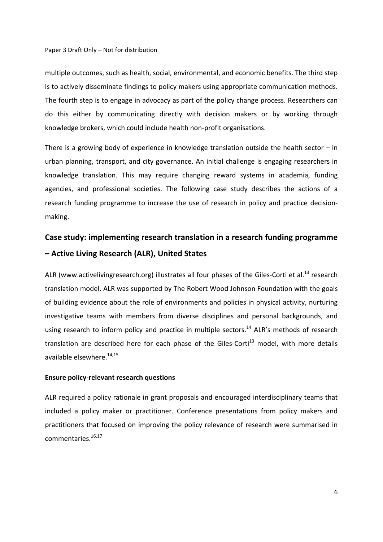multiple outcomes, such as health, social, environmental, and economic benefits. The third step is to actively disseminate findings to policy makers using appropriate communication methods. The fourth step is to engage in advocacy as part of the policy change process. Researchers can do this either by communicating directly with decision makers or by working through knowledge brokers, which could include health non‐profit organisations.

There is a growing body of experience in knowledge translation outside the health sector  $-$  in urban planning, transport, and city governance. An initial challenge is engaging researchers in knowledge translation. This may require changing reward systems in academia, funding agencies, and professional societies. The following case study describes the actions of a research funding programme to increase the use of research in policy and practice decision‐ making.

# **Case study: implementing research translation in a research funding programme – Active Living Research (ALR), United States**

ALR (www.activelivingresearch.org) illustrates all four phases of the Giles-Corti et al.<sup>13</sup> research translation model. ALR was supported by The Robert Wood Johnson Foundation with the goals of building evidence about the role of environments and policies in physical activity, nurturing investigative teams with members from diverse disciplines and personal backgrounds, and using research to inform policy and practice in multiple sectors.<sup>14</sup> ALR's methods of research translation are described here for each phase of the Giles-Corti<sup>13</sup> model, with more details available elsewhere.<sup>14,15</sup>

#### **Ensure policy‐relevant research questions**

ALR required a policy rationale in grant proposals and encouraged interdisciplinary teams that included a policy maker or practitioner. Conference presentations from policy makers and practitioners that focused on improving the policy relevance of research were summarised in commentaries.<sup>16,17</sup>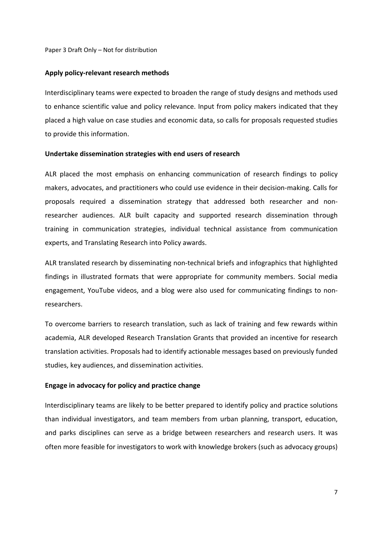#### **Apply policy‐relevant research methods**

Interdisciplinary teams were expected to broaden the range of study designs and methods used to enhance scientific value and policy relevance. Input from policy makers indicated that they placed a high value on case studies and economic data, so calls for proposals requested studies to provide this information.

#### **Undertake dissemination strategies with end users of research**

ALR placed the most emphasis on enhancing communication of research findings to policy makers, advocates, and practitioners who could use evidence in their decision‐making. Calls for proposals required a dissemination strategy that addressed both researcher and non‐ researcher audiences. ALR built capacity and supported research dissemination through training in communication strategies, individual technical assistance from communication experts, and Translating Research into Policy awards.

ALR translated research by disseminating non-technical briefs and infographics that highlighted findings in illustrated formats that were appropriate for community members. Social media engagement, YouTube videos, and a blog were also used for communicating findings to non‐ researchers.

To overcome barriers to research translation, such as lack of training and few rewards within academia, ALR developed Research Translation Grants that provided an incentive for research translation activities. Proposals had to identify actionable messages based on previously funded studies, key audiences, and dissemination activities.

#### **Engage in advocacy for policy and practice change**

Interdisciplinary teams are likely to be better prepared to identify policy and practice solutions than individual investigators, and team members from urban planning, transport, education, and parks disciplines can serve as a bridge between researchers and research users. It was often more feasible for investigators to work with knowledge brokers (such as advocacy groups)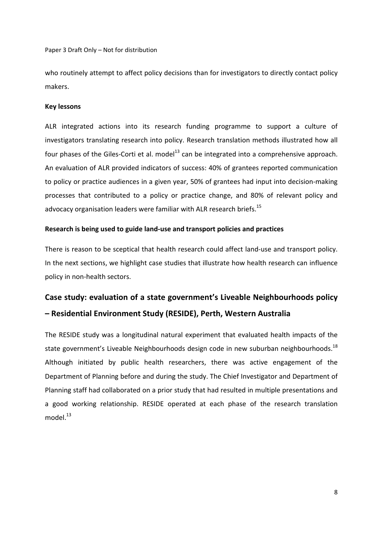who routinely attempt to affect policy decisions than for investigators to directly contact policy makers.

### **Key lessons**

ALR integrated actions into its research funding programme to support a culture of investigators translating research into policy. Research translation methods illustrated how all four phases of the Giles-Corti et al. model<sup>13</sup> can be integrated into a comprehensive approach. An evaluation of ALR provided indicators of success: 40% of grantees reported communication to policy or practice audiences in a given year, 50% of grantees had input into decision‐making processes that contributed to a policy or practice change, and 80% of relevant policy and advocacy organisation leaders were familiar with ALR research briefs.<sup>15</sup>

### **Research is being used to guide land‐use and transport policies and practices**

There is reason to be sceptical that health research could affect land-use and transport policy. In the next sections, we highlight case studies that illustrate how health research can influence policy in non‐health sectors.

# **Case study: evaluation of a state government's Liveable Neighbourhoods policy – Residential Environment Study (RESIDE), Perth, Western Australia**

The RESIDE study was a longitudinal natural experiment that evaluated health impacts of the state government's Liveable Neighbourhoods design code in new suburban neighbourhoods.<sup>18</sup> Although initiated by public health researchers, there was active engagement of the Department of Planning before and during the study. The Chief Investigator and Department of Planning staff had collaborated on a prior study that had resulted in multiple presentations and a good working relationship. RESIDE operated at each phase of the research translation model. $13$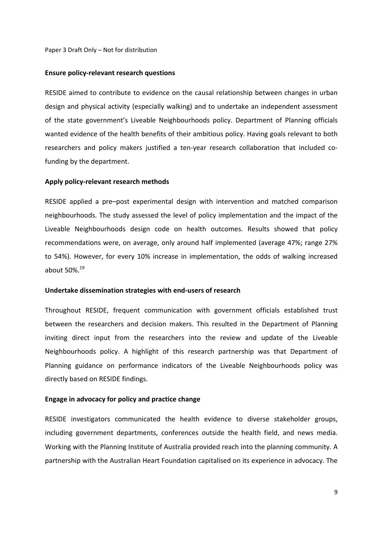#### **Ensure policy‐relevant research questions**

RESIDE aimed to contribute to evidence on the causal relationship between changes in urban design and physical activity (especially walking) and to undertake an independent assessment of the state government's Liveable Neighbourhoods policy. Department of Planning officials wanted evidence of the health benefits of their ambitious policy. Having goals relevant to both researchers and policy makers justified a ten-year research collaboration that included cofunding by the department.

#### **Apply policy‐relevant research methods**

RESIDE applied a pre–post experimental design with intervention and matched comparison neighbourhoods. The study assessed the level of policy implementation and the impact of the Liveable Neighbourhoods design code on health outcomes. Results showed that policy recommendations were, on average, only around half implemented (average 47%; range 27% to 54%). However, for every 10% increase in implementation, the odds of walking increased about 50%.19

#### **Undertake dissemination strategies with end‐users of research**

Throughout RESIDE, frequent communication with government officials established trust between the researchers and decision makers. This resulted in the Department of Planning inviting direct input from the researchers into the review and update of the Liveable Neighbourhoods policy. A highlight of this research partnership was that Department of Planning guidance on performance indicators of the Liveable Neighbourhoods policy was directly based on RESIDE findings.

#### **Engage in advocacy for policy and practice change**

RESIDE investigators communicated the health evidence to diverse stakeholder groups, including government departments, conferences outside the health field, and news media. Working with the Planning Institute of Australia provided reach into the planning community. A partnership with the Australian Heart Foundation capitalised on its experience in advocacy. The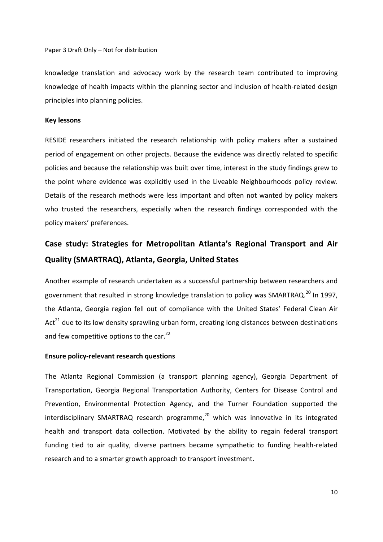knowledge translation and advocacy work by the research team contributed to improving knowledge of health impacts within the planning sector and inclusion of health-related design principles into planning policies.

#### **Key lessons**

RESIDE researchers initiated the research relationship with policy makers after a sustained period of engagement on other projects. Because the evidence was directly related to specific policies and because the relationship was built over time, interest in the study findings grew to the point where evidence was explicitly used in the Liveable Neighbourhoods policy review. Details of the research methods were less important and often not wanted by policy makers who trusted the researchers, especially when the research findings corresponded with the policy makers' preferences.

# **Case study: Strategies for Metropolitan Atlanta's Regional Transport and Air Quality (SMARTRAQ), Atlanta, Georgia, United States**

Another example of research undertaken as a successful partnership between researchers and government that resulted in strong knowledge translation to policy was SMARTRAQ.<sup>20</sup> In 1997, the Atlanta, Georgia region fell out of compliance with the United States' Federal Clean Air Act<sup>21</sup> due to its low density sprawling urban form, creating long distances between destinations and few competitive options to the car.<sup>22</sup>

#### **Ensure policy‐relevant research questions**

The Atlanta Regional Commission (a transport planning agency), Georgia Department of Transportation, Georgia Regional Transportation Authority, Centers for Disease Control and Prevention, Environmental Protection Agency, and the Turner Foundation supported the interdisciplinary SMARTRAQ research programme, $^{20}$  which was innovative in its integrated health and transport data collection. Motivated by the ability to regain federal transport funding tied to air quality, diverse partners became sympathetic to funding health-related research and to a smarter growth approach to transport investment.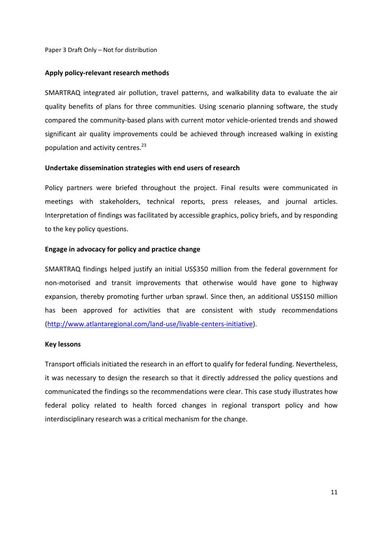#### **Apply policy‐relevant research methods**

SMARTRAQ integrated air pollution, travel patterns, and walkability data to evaluate the air quality benefits of plans for three communities. Using scenario planning software, the study compared the community‐based plans with current motor vehicle‐oriented trends and showed significant air quality improvements could be achieved through increased walking in existing population and activity centres.<sup>23</sup>

#### **Undertake dissemination strategies with end users of research**

Policy partners were briefed throughout the project. Final results were communicated in meetings with stakeholders, technical reports, press releases, and journal articles. Interpretation of findings was facilitated by accessible graphics, policy briefs, and by responding to the key policy questions.

#### **Engage in advocacy for policy and practice change**

SMARTRAQ findings helped justify an initial US\$350 million from the federal government for non‐motorised and transit improvements that otherwise would have gone to highway expansion, thereby promoting further urban sprawl. Since then, an additional US\$150 million has been approved for activities that are consistent with study recommendations (http://www.atlantaregional.com/land‐use/livable‐centers‐initiative).

#### **Key lessons**

Transport officials initiated the research in an effort to qualify for federal funding. Nevertheless, it was necessary to design the research so that it directly addressed the policy questions and communicated the findings so the recommendations were clear. This case study illustrates how federal policy related to health forced changes in regional transport policy and how interdisciplinary research was a critical mechanism for the change.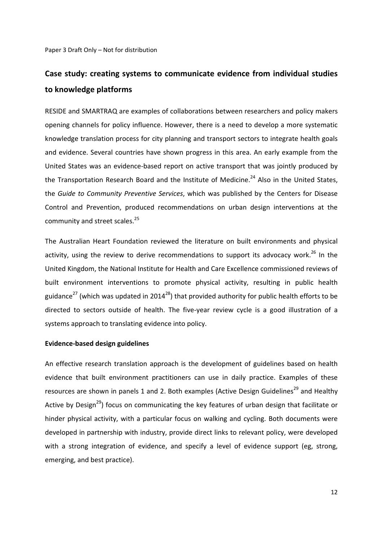# **Case study: creating systems to communicate evidence from individual studies to knowledge platforms**

RESIDE and SMARTRAQ are examples of collaborations between researchers and policy makers opening channels for policy influence. However, there is a need to develop a more systematic knowledge translation process for city planning and transport sectors to integrate health goals and evidence. Several countries have shown progress in this area. An early example from the United States was an evidence‐based report on active transport that was jointly produced by the Transportation Research Board and the Institute of Medicine.<sup>24</sup> Also in the United States, the *Guide to Community Preventive Services*, which was published by the Centers for Disease Control and Prevention, produced recommendations on urban design interventions at the community and street scales.<sup>25</sup>

The Australian Heart Foundation reviewed the literature on built environments and physical activity, using the review to derive recommendations to support its advocacy work.<sup>26</sup> In the United Kingdom, the National Institute for Health and Care Excellence commissioned reviews of built environment interventions to promote physical activity, resulting in public health guidance<sup>27</sup> (which was updated in 2014<sup>28</sup>) that provided authority for public health efforts to be directed to sectors outside of health. The five‐year review cycle is a good illustration of a systems approach to translating evidence into policy.

#### **Evidence‐based design guidelines**

An effective research translation approach is the development of guidelines based on health evidence that built environment practitioners can use in daily practice. Examples of these resources are shown in panels 1 and 2. Both examples (Active Design Guidelines<sup>29</sup> and Healthy Active by Design<sup>29</sup>) focus on communicating the key features of urban design that facilitate or hinder physical activity, with a particular focus on walking and cycling. Both documents were developed in partnership with industry, provide direct links to relevant policy, were developed with a strong integration of evidence, and specify a level of evidence support (eg, strong, emerging, and best practice).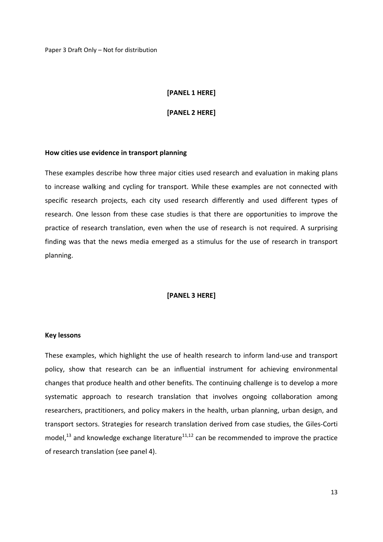#### **[PANEL 1 HERE]**

#### **[PANEL 2 HERE]**

#### **How cities use evidence in transport planning**

These examples describe how three major cities used research and evaluation in making plans to increase walking and cycling for transport. While these examples are not connected with specific research projects, each city used research differently and used different types of research. One lesson from these case studies is that there are opportunities to improve the practice of research translation, even when the use of research is not required. A surprising finding was that the news media emerged as a stimulus for the use of research in transport planning.

### **[PANEL 3 HERE]**

#### **Key lessons**

These examples, which highlight the use of health research to inform land‐use and transport policy, show that research can be an influential instrument for achieving environmental changes that produce health and other benefits. The continuing challenge is to develop a more systematic approach to research translation that involves ongoing collaboration among researchers, practitioners, and policy makers in the health, urban planning, urban design, and transport sectors. Strategies for research translation derived from case studies, the Giles‐Corti model, $^{13}$  and knowledge exchange literature $^{11,12}$  can be recommended to improve the practice of research translation (see panel 4).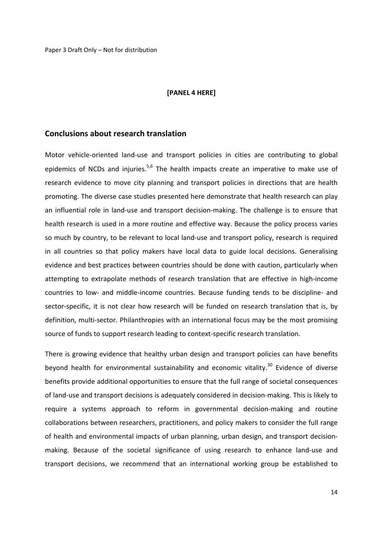#### **[PANEL 4 HERE]**

#### **Conclusions about research translation**

Motor vehicle-oriented land-use and transport policies in cities are contributing to global epidemics of NCDs and injuries.<sup>5,6</sup> The health impacts create an imperative to make use of research evidence to move city planning and transport policies in directions that are health promoting. The diverse case studies presented here demonstrate that health research can play an influential role in land‐use and transport decision‐making. The challenge is to ensure that health research is used in a more routine and effective way. Because the policy process varies so much by country, to be relevant to local land‐use and transport policy, research is required in all countries so that policy makers have local data to guide local decisions. Generalising evidence and best practices between countries should be done with caution, particularly when attempting to extrapolate methods of research translation that are effective in high‐income countries to low‐ and middle‐income countries. Because funding tends to be discipline‐ and sector-specific, it is not clear how research will be funded on research translation that is, by definition, multi‐sector. Philanthropies with an international focus may be the most promising source of funds to support research leading to context-specific research translation.

There is growing evidence that healthy urban design and transport policies can have benefits beyond health for environmental sustainability and economic vitality. $30$  Evidence of diverse benefits provide additional opportunities to ensure that the full range of societal consequences of land‐use and transport decisions is adequately considered in decision‐making. This is likely to require a systems approach to reform in governmental decision-making and routine collaborations between researchers, practitioners, and policy makers to consider the full range of health and environmental impacts of urban planning, urban design, and transport decision‐ making. Because of the societal significance of using research to enhance land‐use and transport decisions, we recommend that an international working group be established to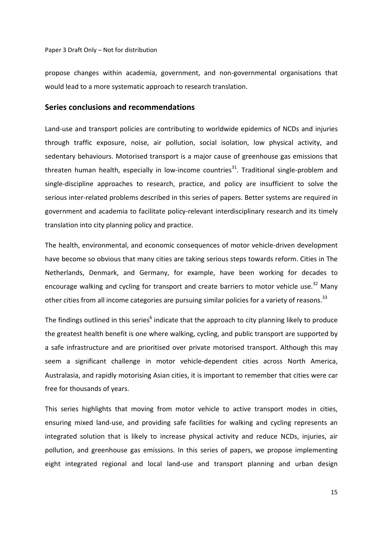propose changes within academia, government, and non‐governmental organisations that would lead to a more systematic approach to research translation.

# **Series conclusions and recommendations**

Land‐use and transport policies are contributing to worldwide epidemics of NCDs and injuries through traffic exposure, noise, air pollution, social isolation, low physical activity, and sedentary behaviours. Motorised transport is a major cause of greenhouse gas emissions that threaten human health, especially in low-income countries<sup>31</sup>. Traditional single-problem and single-discipline approaches to research, practice, and policy are insufficient to solve the serious inter‐related problems described in this series of papers. Better systems are required in government and academia to facilitate policy-relevant interdisciplinary research and its timely translation into city planning policy and practice.

The health, environmental, and economic consequences of motor vehicle‐driven development have become so obvious that many cities are taking serious steps towards reform. Cities in The Netherlands, Denmark, and Germany, for example, have been working for decades to encourage walking and cycling for transport and create barriers to motor vehicle use.<sup>32</sup> Many other cities from all income categories are pursuing similar policies for a variety of reasons.<sup>33</sup>

The findings outlined in this series $<sup>6</sup>$  indicate that the approach to city planning likely to produce</sup> the greatest health benefit is one where walking, cycling, and public transport are supported by a safe infrastructure and are prioritised over private motorised transport. Although this may seem a significant challenge in motor vehicle-dependent cities across North America, Australasia, and rapidly motorising Asian cities, it is important to remember that cities were car free for thousands of years.

This series highlights that moving from motor vehicle to active transport modes in cities, ensuring mixed land‐use, and providing safe facilities for walking and cycling represents an integrated solution that is likely to increase physical activity and reduce NCDs, injuries, air pollution, and greenhouse gas emissions. In this series of papers, we propose implementing eight integrated regional and local land‐use and transport planning and urban design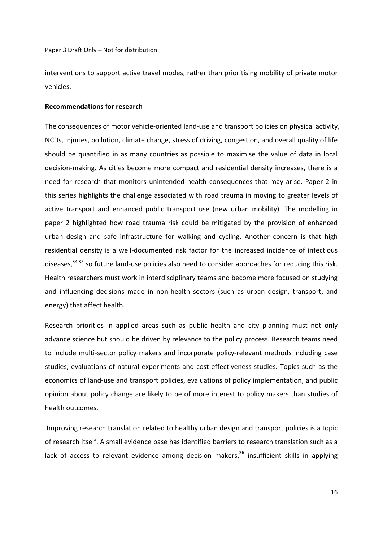interventions to support active travel modes, rather than prioritising mobility of private motor vehicles.

#### **Recommendations for research**

The consequences of motor vehicle-oriented land-use and transport policies on physical activity, NCDs, injuries, pollution, climate change, stress of driving, congestion, and overall quality of life should be quantified in as many countries as possible to maximise the value of data in local decision‐making. As cities become more compact and residential density increases, there is a need for research that monitors unintended health consequences that may arise. Paper 2 in this series highlights the challenge associated with road trauma in moving to greater levels of active transport and enhanced public transport use (new urban mobility). The modelling in paper 2 highlighted how road trauma risk could be mitigated by the provision of enhanced urban design and safe infrastructure for walking and cycling. Another concern is that high residential density is a well‐documented risk factor for the increased incidence of infectious diseases,<sup>34,35</sup> so future land-use policies also need to consider approaches for reducing this risk. Health researchers must work in interdisciplinary teams and become more focused on studying and influencing decisions made in non-health sectors (such as urban design, transport, and energy) that affect health.

Research priorities in applied areas such as public health and city planning must not only advance science but should be driven by relevance to the policy process. Research teams need to include multi‐sector policy makers and incorporate policy‐relevant methods including case studies, evaluations of natural experiments and cost-effectiveness studies. Topics such as the economics of land‐use and transport policies, evaluations of policy implementation, and public opinion about policy change are likely to be of more interest to policy makers than studies of health outcomes.

Improving research translation related to healthy urban design and transport policies is a topic of research itself. A small evidence base has identified barriers to research translation such as a lack of access to relevant evidence among decision makers,  $36$  insufficient skills in applying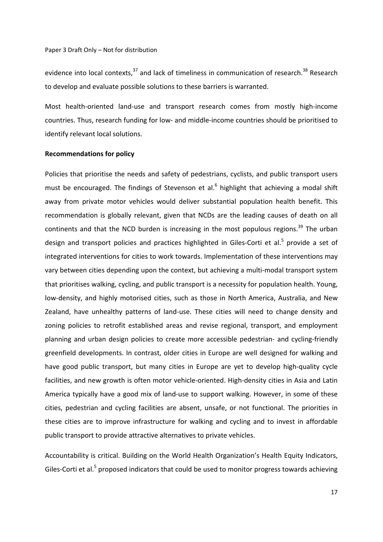evidence into local contexts,<sup>37</sup> and lack of timeliness in communication of research.<sup>38</sup> Research to develop and evaluate possible solutions to these barriers is warranted.

Most health-oriented land-use and transport research comes from mostly high-income countries. Thus, research funding for low‐ and middle‐income countries should be prioritised to identify relevant local solutions.

#### **Recommendations for policy**

Policies that prioritise the needs and safety of pedestrians, cyclists, and public transport users must be encouraged. The findings of Stevenson et al.<sup>6</sup> highlight that achieving a modal shift away from private motor vehicles would deliver substantial population health benefit. This recommendation is globally relevant, given that NCDs are the leading causes of death on all continents and that the NCD burden is increasing in the most populous regions.<sup>39</sup> The urban design and transport policies and practices highlighted in Giles-Corti et al.<sup>5</sup> provide a set of integrated interventions for cities to work towards. Implementation of these interventions may vary between cities depending upon the context, but achieving a multi-modal transport system that prioritises walking, cycling, and public transport is a necessity for population health. Young, low-density, and highly motorised cities, such as those in North America, Australia, and New Zealand, have unhealthy patterns of land‐use. These cities will need to change density and zoning policies to retrofit established areas and revise regional, transport, and employment planning and urban design policies to create more accessible pedestrian‐ and cycling‐friendly greenfield developments. In contrast, older cities in Europe are well designed for walking and have good public transport, but many cities in Europe are yet to develop high-quality cycle facilities, and new growth is often motor vehicle‐oriented. High‐density cities in Asia and Latin America typically have a good mix of land‐use to support walking. However, in some of these cities, pedestrian and cycling facilities are absent, unsafe, or not functional. The priorities in these cities are to improve infrastructure for walking and cycling and to invest in affordable public transport to provide attractive alternatives to private vehicles.

Accountability is critical. Building on the World Health Organization's Health Equity Indicators, Giles-Corti et al.<sup>5</sup> proposed indicators that could be used to monitor progress towards achieving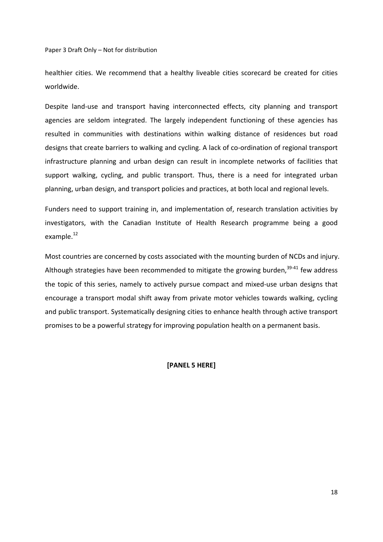healthier cities. We recommend that a healthy liveable cities scorecard be created for cities worldwide.

Despite land-use and transport having interconnected effects, city planning and transport agencies are seldom integrated. The largely independent functioning of these agencies has resulted in communities with destinations within walking distance of residences but road designs that create barriers to walking and cycling. A lack of co‐ordination of regional transport infrastructure planning and urban design can result in incomplete networks of facilities that support walking, cycling, and public transport. Thus, there is a need for integrated urban planning, urban design, and transport policies and practices, at both local and regional levels.

Funders need to support training in, and implementation of, research translation activities by investigators, with the Canadian Institute of Health Research programme being a good example.<sup>12</sup>

Most countries are concerned by costs associated with the mounting burden of NCDs and injury. Although strategies have been recommended to mitigate the growing burden, $39-41$  few address the topic of this series, namely to actively pursue compact and mixed‐use urban designs that encourage a transport modal shift away from private motor vehicles towards walking, cycling and public transport. Systematically designing cities to enhance health through active transport promises to be a powerful strategy for improving population health on a permanent basis.

#### **[PANEL 5 HERE]**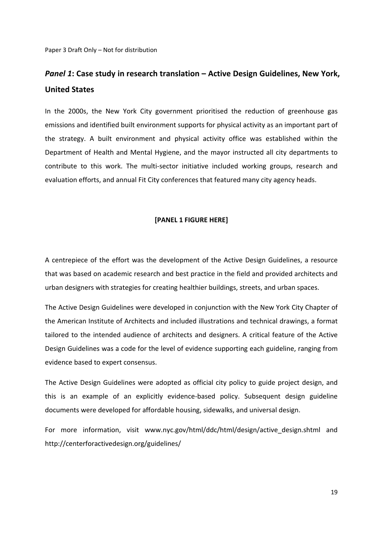# *Panel 1***: Case study in research translation – Active Design Guidelines, New York, United States**

In the 2000s, the New York City government prioritised the reduction of greenhouse gas emissions and identified built environment supports for physical activity as an important part of the strategy. A built environment and physical activity office was established within the Department of Health and Mental Hygiene, and the mayor instructed all city departments to contribute to this work. The multi‐sector initiative included working groups, research and evaluation efforts, and annual Fit City conferences that featured many city agency heads.

#### **[PANEL 1 FIGURE HERE]**

A centrepiece of the effort was the development of the Active Design Guidelines, a resource that was based on academic research and best practice in the field and provided architects and urban designers with strategies for creating healthier buildings, streets, and urban spaces.

The Active Design Guidelines were developed in conjunction with the New York City Chapter of the American Institute of Architects and included illustrations and technical drawings, a format tailored to the intended audience of architects and designers. A critical feature of the Active Design Guidelines was a code for the level of evidence supporting each guideline, ranging from evidence based to expert consensus.

The Active Design Guidelines were adopted as official city policy to guide project design, and this is an example of an explicitly evidence‐based policy. Subsequent design guideline documents were developed for affordable housing, sidewalks, and universal design.

For more information, visit www.nyc.gov/html/ddc/html/design/active design.shtml and http://centerforactivedesign.org/guidelines/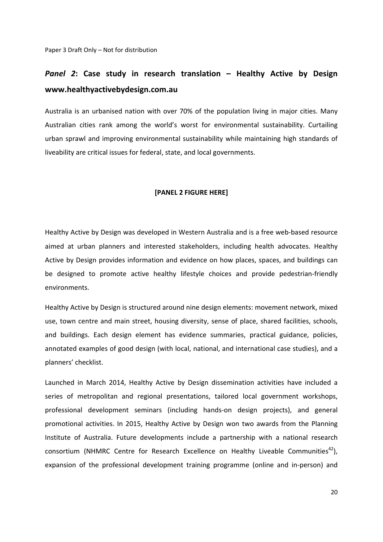# *Panel 2***: Case study in research translation – Healthy Active by Design www.healthyactivebydesign.com.au**

Australia is an urbanised nation with over 70% of the population living in major cities. Many Australian cities rank among the world's worst for environmental sustainability. Curtailing urban sprawl and improving environmental sustainability while maintaining high standards of liveability are critical issues for federal, state, and local governments.

#### **[PANEL 2 FIGURE HERE]**

Healthy Active by Design was developed in Western Australia and is a free web‐based resource aimed at urban planners and interested stakeholders, including health advocates. Healthy Active by Design provides information and evidence on how places, spaces, and buildings can be designed to promote active healthy lifestyle choices and provide pedestrian‐friendly environments.

Healthy Active by Design is structured around nine design elements: movement network, mixed use, town centre and main street, housing diversity, sense of place, shared facilities, schools, and buildings. Each design element has evidence summaries, practical guidance, policies, annotated examples of good design (with local, national, and international case studies), and a planners' checklist.

Launched in March 2014, Healthy Active by Design dissemination activities have included a series of metropolitan and regional presentations, tailored local government workshops, professional development seminars (including hands‐on design projects), and general promotional activities. In 2015, Healthy Active by Design won two awards from the Planning Institute of Australia. Future developments include a partnership with a national research consortium (NHMRC Centre for Research Excellence on Healthy Liveable Communities<sup>42</sup>), expansion of the professional development training programme (online and in‐person) and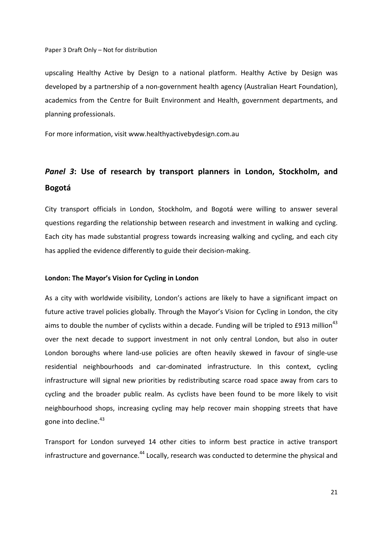upscaling Healthy Active by Design to a national platform. Healthy Active by Design was developed by a partnership of a non‐government health agency (Australian Heart Foundation), academics from the Centre for Built Environment and Health, government departments, and planning professionals.

For more information, visit www.healthyactivebydesign.com.au

# *Panel 3***: Use of research by transport planners in London, Stockholm, and Bogotá**

City transport officials in London, Stockholm, and Bogotá were willing to answer several questions regarding the relationship between research and investment in walking and cycling. Each city has made substantial progress towards increasing walking and cycling, and each city has applied the evidence differently to guide their decision-making.

#### **London: The Mayor's Vision for Cycling in London**

As a city with worldwide visibility, London's actions are likely to have a significant impact on future active travel policies globally. Through the Mayor's Vision for Cycling in London, the city aims to double the number of cyclists within a decade. Funding will be tripled to £913 million<sup>43</sup> over the next decade to support investment in not only central London, but also in outer London boroughs where land‐use policies are often heavily skewed in favour of single‐use residential neighbourhoods and car-dominated infrastructure. In this context, cycling infrastructure will signal new priorities by redistributing scarce road space away from cars to cycling and the broader public realm. As cyclists have been found to be more likely to visit neighbourhood shops, increasing cycling may help recover main shopping streets that have gone into decline.<sup>43</sup>

Transport for London surveyed 14 other cities to inform best practice in active transport infrastructure and governance.<sup>44</sup> Locally, research was conducted to determine the physical and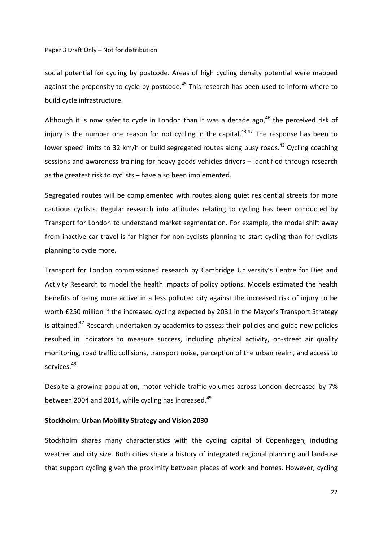social potential for cycling by postcode. Areas of high cycling density potential were mapped against the propensity to cycle by postcode.<sup>45</sup> This research has been used to inform where to build cycle infrastructure.

Although it is now safer to cycle in London than it was a decade ago,  $46$  the perceived risk of injury is the number one reason for not cycling in the capital. $43,47$  The response has been to lower speed limits to 32 km/h or build segregated routes along busy roads.<sup>43</sup> Cycling coaching sessions and awareness training for heavy goods vehicles drivers – identified through research as the greatest risk to cyclists – have also been implemented.

Segregated routes will be complemented with routes along quiet residential streets for more cautious cyclists. Regular research into attitudes relating to cycling has been conducted by Transport for London to understand market segmentation. For example, the modal shift away from inactive car travel is far higher for non-cyclists planning to start cycling than for cyclists planning to cycle more.

Transport for London commissioned research by Cambridge University's Centre for Diet and Activity Research to model the health impacts of policy options. Models estimated the health benefits of being more active in a less polluted city against the increased risk of injury to be worth £250 million if the increased cycling expected by 2031 in the Mayor's Transport Strategy is attained.<sup>47</sup> Research undertaken by academics to assess their policies and guide new policies resulted in indicators to measure success, including physical activity, on‐street air quality monitoring, road traffic collisions, transport noise, perception of the urban realm, and access to services.<sup>48</sup>

Despite a growing population, motor vehicle traffic volumes across London decreased by 7% between 2004 and 2014, while cycling has increased.<sup>49</sup>

#### **Stockholm: Urban Mobility Strategy and Vision 2030**

Stockholm shares many characteristics with the cycling capital of Copenhagen, including weather and city size. Both cities share a history of integrated regional planning and land‐use that support cycling given the proximity between places of work and homes. However, cycling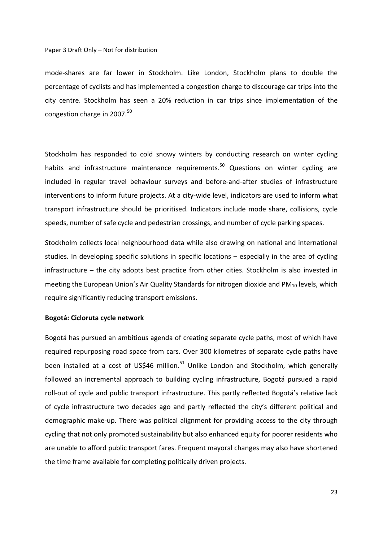mode‐shares are far lower in Stockholm. Like London, Stockholm plans to double the percentage of cyclists and has implemented a congestion charge to discourage car trips into the city centre. Stockholm has seen a 20% reduction in car trips since implementation of the congestion charge in  $2007.<sup>50</sup>$ 

Stockholm has responded to cold snowy winters by conducting research on winter cycling habits and infrastructure maintenance requirements.<sup>50</sup> Questions on winter cycling are included in regular travel behaviour surveys and before-and-after studies of infrastructure interventions to inform future projects. At a city-wide level, indicators are used to inform what transport infrastructure should be prioritised. Indicators include mode share, collisions, cycle speeds, number of safe cycle and pedestrian crossings, and number of cycle parking spaces.

Stockholm collects local neighbourhood data while also drawing on national and international studies. In developing specific solutions in specific locations – especially in the area of cycling infrastructure – the city adopts best practice from other cities. Stockholm is also invested in meeting the European Union's Air Quality Standards for nitrogen dioxide and  $PM_{10}$  levels, which require significantly reducing transport emissions.

#### **Bogotá: Cicloruta cycle network**

Bogotá has pursued an ambitious agenda of creating separate cycle paths, most of which have required repurposing road space from cars. Over 300 kilometres of separate cycle paths have been installed at a cost of US\$46 million.<sup>51</sup> Unlike London and Stockholm, which generally followed an incremental approach to building cycling infrastructure, Bogotá pursued a rapid roll‐out of cycle and public transport infrastructure. This partly reflected Bogotá's relative lack of cycle infrastructure two decades ago and partly reflected the city's different political and demographic make‐up. There was political alignment for providing access to the city through cycling that not only promoted sustainability but also enhanced equity for poorer residents who are unable to afford public transport fares. Frequent mayoral changes may also have shortened the time frame available for completing politically driven projects.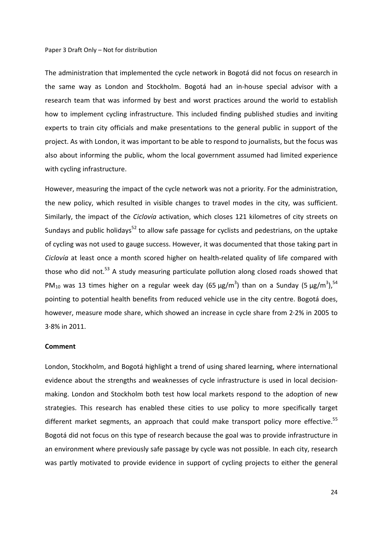The administration that implemented the cycle network in Bogotá did not focus on research in the same way as London and Stockholm. Bogotá had an in‐house special advisor with a research team that was informed by best and worst practices around the world to establish how to implement cycling infrastructure. This included finding published studies and inviting experts to train city officials and make presentations to the general public in support of the project. As with London, it was important to be able to respond to journalists, but the focus was also about informing the public, whom the local government assumed had limited experience with cycling infrastructure.

However, measuring the impact of the cycle network was not a priority. For the administration, the new policy, which resulted in visible changes to travel modes in the city, was sufficient. Similarly, the impact of the *Ciclovía* activation, which closes 121 kilometres of city streets on Sundays and public holidays<sup>52</sup> to allow safe passage for cyclists and pedestrians, on the uptake of cycling was not used to gauge success. However, it was documented that those taking part in *Ciclovía* at least once a month scored higher on health-related quality of life compared with those who did not.<sup>53</sup> A study measuring particulate pollution along closed roads showed that PM<sub>10</sub> was 13 times higher on a regular week day (65  $\mu$ g/m<sup>3</sup>) than on a Sunday (5  $\mu$ g/m<sup>3</sup>),<sup>54</sup> pointing to potential health benefits from reduced vehicle use in the city centre. Bogotá does, however, measure mode share, which showed an increase in cycle share from 2∙2% in 2005 to 3∙8% in 2011.

#### **Comment**

London, Stockholm, and Bogotá highlight a trend of using shared learning, where international evidence about the strengths and weaknesses of cycle infrastructure is used in local decisionmaking. London and Stockholm both test how local markets respond to the adoption of new strategies. This research has enabled these cities to use policy to more specifically target different market segments, an approach that could make transport policy more effective.<sup>55</sup> Bogotá did not focus on this type of research because the goal was to provide infrastructure in an environment where previously safe passage by cycle was not possible. In each city, research was partly motivated to provide evidence in support of cycling projects to either the general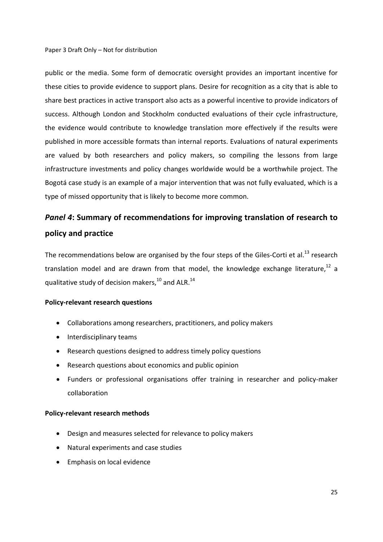public or the media. Some form of democratic oversight provides an important incentive for these cities to provide evidence to support plans. Desire for recognition as a city that is able to share best practices in active transport also acts as a powerful incentive to provide indicators of success. Although London and Stockholm conducted evaluations of their cycle infrastructure, the evidence would contribute to knowledge translation more effectively if the results were published in more accessible formats than internal reports. Evaluations of natural experiments are valued by both researchers and policy makers, so compiling the lessons from large infrastructure investments and policy changes worldwide would be a worthwhile project. The Bogotá case study is an example of a major intervention that was not fully evaluated, which is a type of missed opportunity that is likely to become more common.

# *Panel 4***: Summary of recommendations for improving translation of research to policy and practice**

The recommendations below are organised by the four steps of the Giles-Corti et al.<sup>13</sup> research translation model and are drawn from that model, the knowledge exchange literature, $^{12}$  a qualitative study of decision makers,  $^{10}$  and ALR.<sup>14</sup>

# **Policy‐relevant research questions**

- Collaborations among researchers, practitioners, and policy makers
- Interdisciplinary teams
- Research questions designed to address timely policy questions
- Research questions about economics and public opinion
- Funders or professional organisations offer training in researcher and policy‐maker collaboration

#### **Policy‐relevant research methods**

- Design and measures selected for relevance to policy makers
- Natural experiments and case studies
- Emphasis on local evidence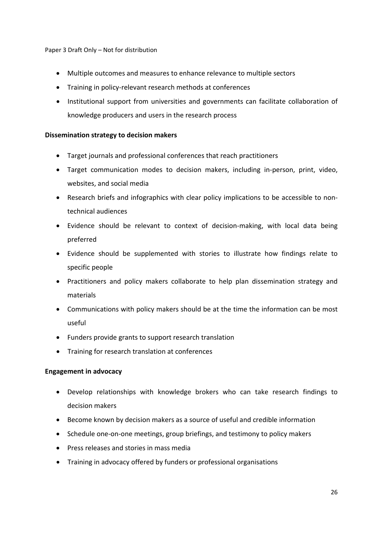- Multiple outcomes and measures to enhance relevance to multiple sectors
- Training in policy-relevant research methods at conferences
- Institutional support from universities and governments can facilitate collaboration of knowledge producers and users in the research process

### **Dissemination strategy to decision makers**

- Target journals and professional conferences that reach practitioners
- Target communication modes to decision makers, including in‐person, print, video, websites, and social media
- Research briefs and infographics with clear policy implications to be accessible to nontechnical audiences
- Evidence should be relevant to context of decision‐making, with local data being preferred
- Evidence should be supplemented with stories to illustrate how findings relate to specific people
- Practitioners and policy makers collaborate to help plan dissemination strategy and materials
- Communications with policy makers should be at the time the information can be most useful
- Funders provide grants to support research translation
- Training for research translation at conferences

# **Engagement in advocacy**

- Develop relationships with knowledge brokers who can take research findings to decision makers
- Become known by decision makers as a source of useful and credible information
- Schedule one-on-one meetings, group briefings, and testimony to policy makers
- Press releases and stories in mass media
- Training in advocacy offered by funders or professional organisations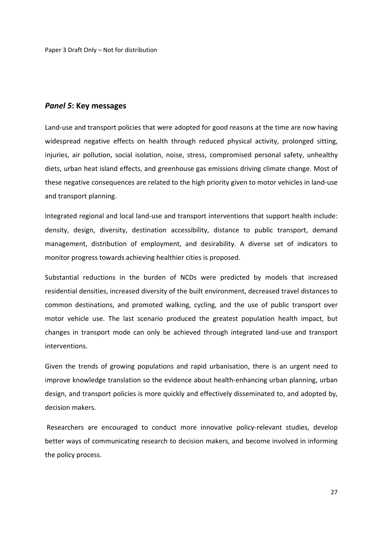### *Panel 5***: Key messages**

Land-use and transport policies that were adopted for good reasons at the time are now having widespread negative effects on health through reduced physical activity, prolonged sitting, injuries, air pollution, social isolation, noise, stress, compromised personal safety, unhealthy diets, urban heat island effects, and greenhouse gas emissions driving climate change. Most of these negative consequences are related to the high priority given to motor vehicles in land‐use and transport planning.

Integrated regional and local land‐use and transport interventions that support health include: density, design, diversity, destination accessibility, distance to public transport, demand management, distribution of employment, and desirability. A diverse set of indicators to monitor progress towards achieving healthier cities is proposed.

Substantial reductions in the burden of NCDs were predicted by models that increased residential densities, increased diversity of the built environment, decreased travel distances to common destinations, and promoted walking, cycling, and the use of public transport over motor vehicle use. The last scenario produced the greatest population health impact, but changes in transport mode can only be achieved through integrated land‐use and transport interventions.

Given the trends of growing populations and rapid urbanisation, there is an urgent need to improve knowledge translation so the evidence about health-enhancing urban planning, urban design, and transport policies is more quickly and effectively disseminated to, and adopted by, decision makers.

Researchers are encouraged to conduct more innovative policy-relevant studies, develop better ways of communicating research to decision makers, and become involved in informing the policy process.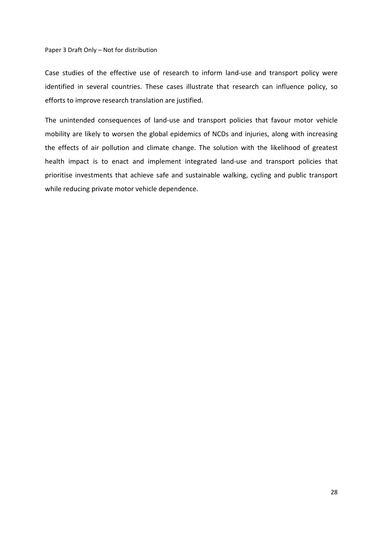Case studies of the effective use of research to inform land‐use and transport policy were identified in several countries. These cases illustrate that research can influence policy, so efforts to improve research translation are justified.

The unintended consequences of land‐use and transport policies that favour motor vehicle mobility are likely to worsen the global epidemics of NCDs and injuries, along with increasing the effects of air pollution and climate change. The solution with the likelihood of greatest health impact is to enact and implement integrated land‐use and transport policies that prioritise investments that achieve safe and sustainable walking, cycling and public transport while reducing private motor vehicle dependence.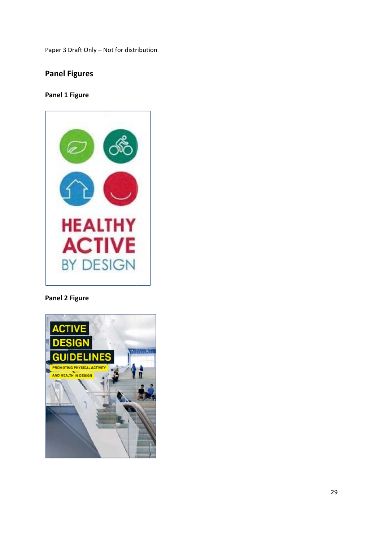# **Panel F Figures**

# **Panel 1 Figure**



# **Panel 2 Figure**

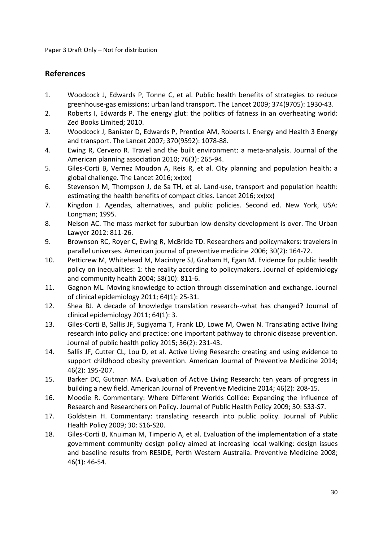# **References**

- 1. Woodcock J, Edwards P, Tonne C, et al. Public health benefits of strategies to reduce greenhouse‐gas emissions: urban land transport. The Lancet 2009; 374(9705): 1930‐43.
- 2. Roberts I, Edwards P. The energy glut: the politics of fatness in an overheating world: Zed Books Limited; 2010.
- 3. Woodcock J, Banister D, Edwards P, Prentice AM, Roberts I. Energy and Health 3 Energy and transport. The Lancet 2007; 370(9592): 1078‐88.
- 4. Ewing R, Cervero R. Travel and the built environment: a meta-analysis. Journal of the American planning association 2010; 76(3): 265‐94.
- 5. Giles‐Corti B, Vernez Moudon A, Reis R, et al. City planning and population health: a global challenge. The Lancet 2016; xx(xx)
- 6. Stevenson M, Thompson J, de Sa TH, et al. Land‐use, transport and population health: estimating the health benefits of compact cities. Lancet 2016; xx(xx)
- 7. Kingdon J. Agendas, alternatives, and public policies. Second ed. New York, USA: Longman; 1995.
- 8. Nelson AC. The mass market for suburban low-density development is over. The Urban Lawyer 2012: 811‐26.
- 9. Brownson RC, Royer C, Ewing R, McBride TD. Researchers and policymakers: travelers in parallel universes. American journal of preventive medicine 2006; 30(2): 164‐72.
- 10. Petticrew M, Whitehead M, Macintyre SJ, Graham H, Egan M. Evidence for public health policy on inequalities: 1: the reality according to policymakers. Journal of epidemiology and community health 2004; 58(10): 811‐6.
- 11. Gagnon ML. Moving knowledge to action through dissemination and exchange. Journal of clinical epidemiology 2011; 64(1): 25‐31.
- 12. Shea BJ. A decade of knowledge translation research--what has changed? Journal of clinical epidemiology 2011; 64(1): 3.
- 13. Giles-Corti B, Sallis JF, Sugiyama T, Frank LD, Lowe M, Owen N. Translating active living research into policy and practice: one important pathway to chronic disease prevention. Journal of public health policy 2015; 36(2): 231‐43.
- 14. Sallis JF, Cutter CL, Lou D, et al. Active Living Research: creating and using evidence to support childhood obesity prevention. American Journal of Preventive Medicine 2014; 46(2): 195‐207.
- 15. Barker DC, Gutman MA. Evaluation of Active Living Research: ten years of progress in building a new field. American Journal of Preventive Medicine 2014; 46(2): 208‐15.
- 16. Moodie R. Commentary: Where Different Worlds Collide: Expanding the Influence of Research and Researchers on Policy. Journal of Public Health Policy 2009; 30: S33‐S7.
- 17. Goldstein H. Commentary: translating research into public policy. Journal of Public Health Policy 2009; 30: S16‐S20.
- 18. Giles‐Corti B, Knuiman M, Timperio A, et al. Evaluation of the implementation of a state government community design policy aimed at increasing local walking: design issues and baseline results from RESIDE, Perth Western Australia. Preventive Medicine 2008; 46(1): 46‐54.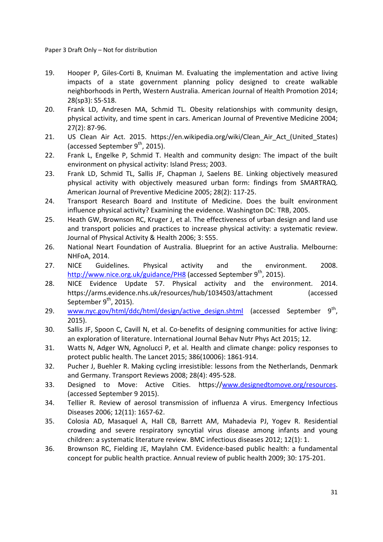- 19. Hooper P, Giles-Corti B, Knuiman M. Evaluating the implementation and active living impacts of a state government planning policy designed to create walkable neighborhoods in Perth, Western Australia. American Journal of Health Promotion 2014; 28(sp3): S5‐S18.
- 20. Frank LD, Andresen MA, Schmid TL. Obesity relationships with community design, physical activity, and time spent in cars. American Journal of Preventive Medicine 2004; 27(2): 87‐96.
- 21. US Clean Air Act. 2015. https://en.wikipedia.org/wiki/Clean Air Act (United States) (accessed September  $9^{th}$ , 2015).
- 22. Frank L, Engelke P, Schmid T. Health and community design: The impact of the built environment on physical activity: Island Press; 2003.
- 23. Frank LD, Schmid TL, Sallis JF, Chapman J, Saelens BE. Linking objectively measured physical activity with objectively measured urban form: findings from SMARTRAQ. American Journal of Preventive Medicine 2005; 28(2): 117‐25.
- 24. Transport Research Board and Institute of Medicine. Does the built environment influence physical activity? Examining the evidence. Washington DC: TRB, 2005.
- 25. Heath GW, Brownson RC, Kruger J, et al. The effectiveness of urban design and land use and transport policies and practices to increase physical activity: a systematic review. Journal of Physical Activity & Health 2006; 3: S55.
- 26. National Neart Foundation of Australia. Blueprint for an active Australia. Melbourne: NHFoA, 2014.
- 27. NICE Guidelines. Physical activity and the environment. 2008. http://www.nice.org.uk/guidance/PH8 (accessed September 9<sup>th</sup>, 2015).
- 28. NICE Evidence Update 57. Physical activity and the environment. 2014. https://arms.evidence.nhs.uk/resources/hub/1034503/attachment (accessed September  $9<sup>th</sup>$ , 2015).
- 29. www.nyc.gov/html/ddc/html/design/active design.shtml (accessed September 9<sup>th</sup>, 2015).
- 30. Sallis JF, Spoon C, Cavill N, et al. Co-benefits of designing communities for active living: an exploration of literature. International Journal Behav Nutr Phys Act 2015; 12.
- 31. Watts N, Adger WN, Agnolucci P, et al. Health and climate change: policy responses to protect public health. The Lancet 2015; 386(10006): 1861‐914.
- 32. Pucher J, Buehler R. Making cycling irresistible: lessons from the Netherlands, Denmark and Germany. Transport Reviews 2008; 28(4): 495‐528.
- 33. Designed to Move: Active Cities. https://www.designedtomove.org/resources. (accessed September 9 2015).
- 34. Tellier R. Review of aerosol transmission of influenza A virus. Emergency Infectious Diseases 2006; 12(11): 1657‐62.
- 35. Colosia AD, Masaquel A, Hall CB, Barrett AM, Mahadevia PJ, Yogev R. Residential crowding and severe respiratory syncytial virus disease among infants and young children: a systematic literature review. BMC infectious diseases 2012; 12(1): 1.
- 36. Brownson RC, Fielding JE, Maylahn CM. Evidence‐based public health: a fundamental concept for public health practice. Annual review of public health 2009; 30: 175‐201.